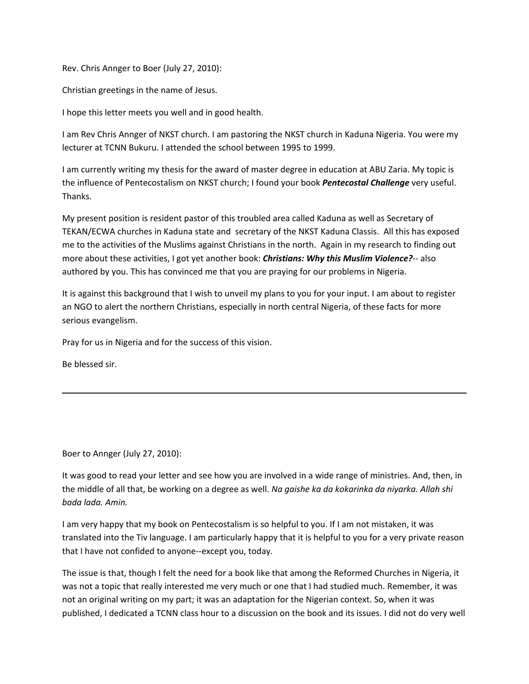Rev. Chris Annger to Boer (July 27, 2010):

Christian greetings in the name of Jesus.

I hope this letter meets you well and in good health.

I am Rev Chris Annger of NKST church. I am pastoring the NKST church in Kaduna Nigeria. You were my lecturer at TCNN Bukuru. I attended the school between 1995 to 1999.

I am currently writing my thesis for the award of master degree in education at ABU Zaria. My topic is the influence of Pentecostalism on NKST church; I found your book *Pentecostal Challenge* very useful. Thanks.

My present position is resident pastor of this troubled area called Kaduna as well as Secretary of TEKAN/ECWA churches in Kaduna state and secretary of the NKST Kaduna Classis. All this has exposed me to the activities of the Muslims against Christians in the north. Again in my research to finding out more about these activities, I got yet another book: *Christians: Why this Muslim Violence?*-- also authored by you. This has convinced me that you are praying for our problems in Nigeria.

It is against this background that I wish to unveil my plans to you for your input. I am about to register an NGO to alert the northern Christians, especially in north central Nigeria, of these facts for more serious evangelism.

Pray for us in Nigeria and for the success of this vision.

Be blessed sir.

Boer to Annger (July 27, 2010):

It was good to read your letter and see how you are involved in a wide range of ministries. And, then, in the middle of all that, be working on a degree as well. *Na gaishe ka da kokarinka da niyarka. Allah shi bada lada. Amin.*

I am very happy that my book on Pentecostalism is so helpful to you. If I am not mistaken, it was translated into the Tiv language. I am particularly happy that it is helpful to you for a very private reason that I have not confided to anyone--except you, today.

The issue is that, though I felt the need for a book like that among the Reformed Churches in Nigeria, it was not a topic that really interested me very much or one that I had studied much. Remember, it was not an original writing on my part; it was an adaptation for the Nigerian context. So, when it was published, I dedicated a TCNN class hour to a discussion on the book and its issues. I did not do very well